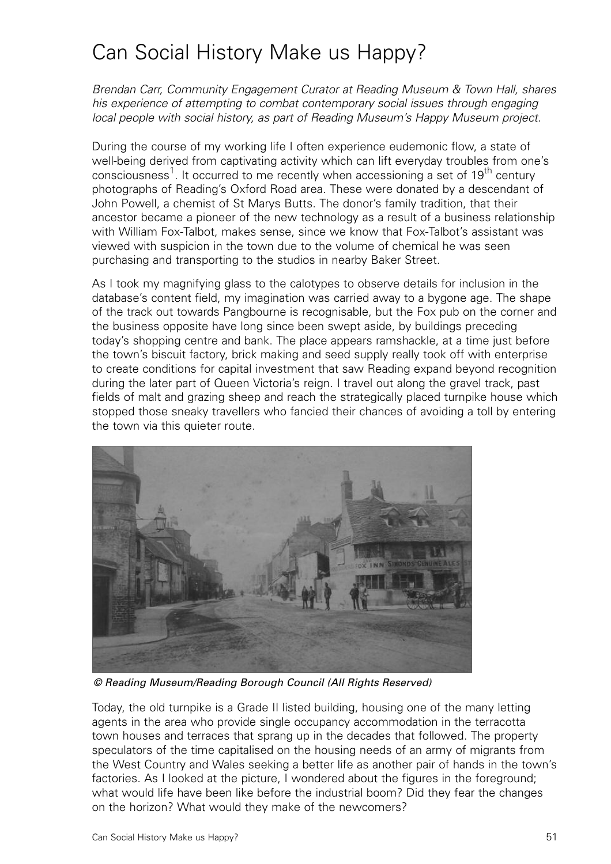## Can Social History Make us Happy?

Brendan Carr, Community Engagement Curator at Reading Museum & Town Hall, shares his experience of attempting to combat contemporary social issues through engaging local people with social history, as part of Reading Museum's Happy Museum project.

During the course of my working life I often experience eudemonic flow, a state of well-being derived from captivating activity which can lift everyday troubles from one's consciousness<sup>1</sup>. It occurred to me recently when accessioning a set of 19<sup>th</sup> century photographs of Reading's Oxford Road area. These were donated by a descendant of John Powell, a chemist of St Marys Butts. The donor's family tradition, that their ancestor became a pioneer of the new technology as a result of a business relationship with William Fox-Talbot, makes sense, since we know that Fox-Talbot's assistant was viewed with suspicion in the town due to the volume of chemical he was seen purchasing and transporting to the studios in nearby Baker Street.

As I took my magnifying glass to the calotypes to observe details for inclusion in the database's content field, my imagination was carried away to a bygone age. The shape of the track out towards Pangbourne is recognisable, but the Fox pub on the corner and the business opposite have long since been swept aside, by buildings preceding today's shopping centre and bank. The place appears ramshackle, at a time just before the town's biscuit factory, brick making and seed supply really took off with enterprise to create conditions for capital investment that saw Reading expand beyond recognition during the later part of Queen Victoria's reign. I travel out along the gravel track, past fields of malt and grazing sheep and reach the strategically placed turnpike house which stopped those sneaky travellers who fancied their chances of avoiding a toll by entering the town via this quieter route.



© Reading Museum/Reading Borough Council (All Rights Reserved)

Today, the old turnpike is a Grade II listed building, housing one of the many letting agents in the area who provide single occupancy accommodation in the terracotta town houses and terraces that sprang up in the decades that followed. The property speculators of the time capitalised on the housing needs of an army of migrants from the West Country and Wales seeking a better life as another pair of hands in the town's factories. As I looked at the picture, I wondered about the figures in the foreground; what would life have been like before the industrial boom? Did they fear the changes on the horizon? What would they make of the newcomers?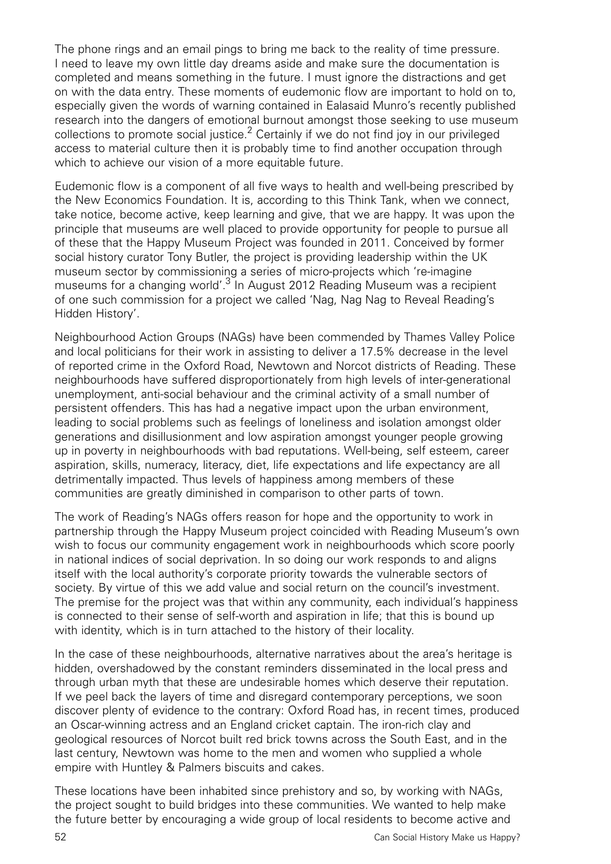The phone rings and an email pings to bring me back to the reality of time pressure. I need to leave my own little day dreams aside and make sure the documentation is completed and means something in the future. I must ignore the distractions and get on with the data entry. These moments of eudemonic flow are important to hold on to, especially given the words of warning contained in Ealasaid Munro's recently published research into the dangers of emotional burnout amongst those seeking to use museum collections to promote social justice.<sup>2</sup> Certainly if we do not find joy in our privileged access to material culture then it is probably time to find another occupation through which to achieve our vision of a more equitable future.

Eudemonic flow is a component of all five ways to health and well-being prescribed by the New Economics Foundation. It is, according to this Think Tank, when we connect, take notice, become active, keep learning and give, that we are happy. It was upon the principle that museums are well placed to provide opportunity for people to pursue all of these that the Happy Museum Project was founded in 2011. Conceived by former social history curator Tony Butler, the project is providing leadership within the UK museum sector by commissioning a series of micro-projects which 're-imagine museums for a changing world'.<sup>3</sup> In August 2012 Reading Museum was a recipient of one such commission for a project we called 'Nag, Nag Nag to Reveal Reading's Hidden History'.

Neighbourhood Action Groups (NAGs) have been commended by Thames Valley Police and local politicians for their work in assisting to deliver a 17.5% decrease in the level of reported crime in the Oxford Road, Newtown and Norcot districts of Reading. These neighbourhoods have suffered disproportionately from high levels of inter-generational unemployment, anti-social behaviour and the criminal activity of a small number of persistent offenders. This has had a negative impact upon the urban environment, leading to social problems such as feelings of loneliness and isolation amongst older generations and disillusionment and low aspiration amongst younger people growing up in poverty in neighbourhoods with bad reputations. Well-being, self esteem, career aspiration, skills, numeracy, literacy, diet, life expectations and life expectancy are all detrimentally impacted. Thus levels of happiness among members of these communities are greatly diminished in comparison to other parts of town.

The work of Reading's NAGs offers reason for hope and the opportunity to work in partnership through the Happy Museum project coincided with Reading Museum's own wish to focus our community engagement work in neighbourhoods which score poorly in national indices of social deprivation. In so doing our work responds to and aligns itself with the local authority's corporate priority towards the vulnerable sectors of society. By virtue of this we add value and social return on the council's investment. The premise for the project was that within any community, each individual's happiness is connected to their sense of self-worth and aspiration in life; that this is bound up with identity, which is in turn attached to the history of their locality.

In the case of these neighbourhoods, alternative narratives about the area's heritage is hidden, overshadowed by the constant reminders disseminated in the local press and through urban myth that these are undesirable homes which deserve their reputation. If we peel back the layers of time and disregard contemporary perceptions, we soon discover plenty of evidence to the contrary: Oxford Road has, in recent times, produced an Oscar-winning actress and an England cricket captain. The iron-rich clay and geological resources of Norcot built red brick towns across the South East, and in the last century, Newtown was home to the men and women who supplied a whole empire with Huntley & Palmers biscuits and cakes.

These locations have been inhabited since prehistory and so, by working with NAGs, the project sought to build bridges into these communities. We wanted to help make the future better by encouraging a wide group of local residents to become active and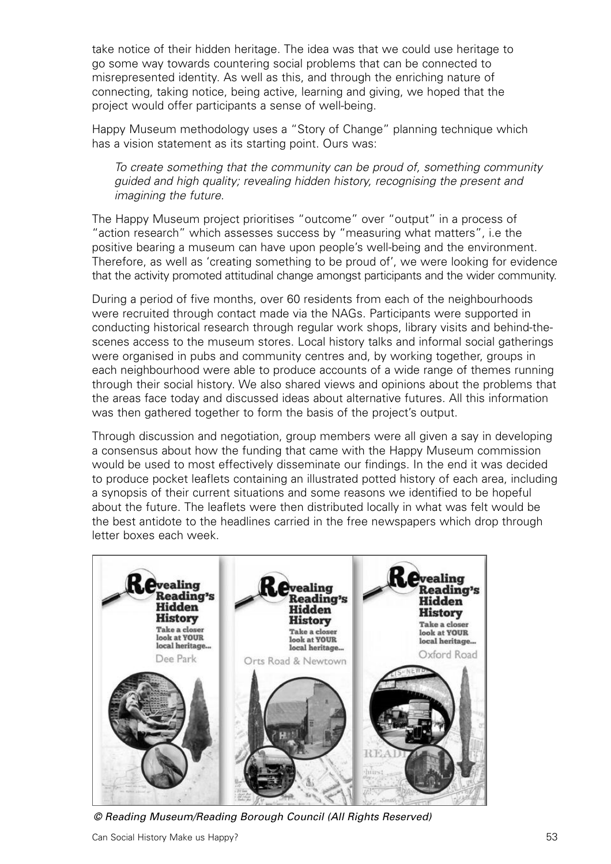take notice of their hidden heritage. The idea was that we could use heritage to go some way towards countering social problems that can be connected to misrepresented identity. As well as this, and through the enriching nature of connecting, taking notice, being active, learning and giving, we hoped that the project would offer participants a sense of well-being.

Happy Museum methodology uses a "Story of Change" planning technique which has a vision statement as its starting point. Ours was:

To create something that the community can be proud of, something community guided and high quality; revealing hidden history, recognising the present and imagining the future.

The Happy Museum project prioritises "outcome" over "output" in a process of "action research" which assesses success by "measuring what matters", i.e the positive bearing a museum can have upon people's well-being and the environment. Therefore, as well as 'creating something to be proud of', we were looking for evidence that the activity promoted attitudinal change amongst participants and the wider community.

During a period of five months, over 60 residents from each of the neighbourhoods were recruited through contact made via the NAGs. Participants were supported in conducting historical research through regular work shops, library visits and behind-thescenes access to the museum stores. Local history talks and informal social gatherings were organised in pubs and community centres and, by working together, groups in each neighbourhood were able to produce accounts of a wide range of themes running through their social history. We also shared views and opinions about the problems that the areas face today and discussed ideas about alternative futures. All this information was then gathered together to form the basis of the project's output.

Through discussion and negotiation, group members were all given a say in developing a consensus about how the funding that came with the Happy Museum commission would be used to most effectively disseminate our findings. In the end it was decided to produce pocket leaflets containing an illustrated potted history of each area, including a synopsis of their current situations and some reasons we identified to be hopeful about the future. The leaflets were then distributed locally in what was felt would be the best antidote to the headlines carried in the free newspapers which drop through letter boxes each week.



© Reading Museum/Reading Borough Council (All Rights Reserved)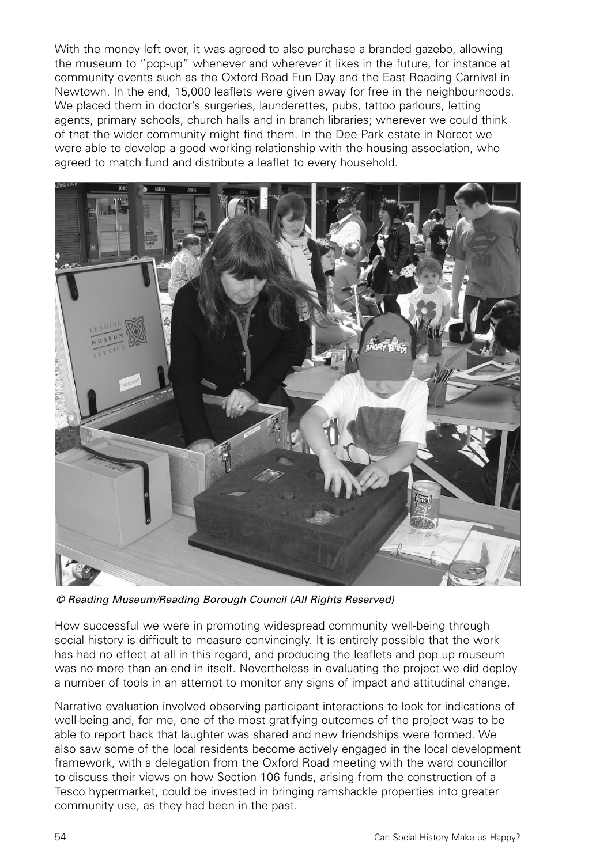With the money left over, it was agreed to also purchase a branded gazebo, allowing the museum to "pop-up" whenever and wherever it likes in the future, for instance at community events such as the Oxford Road Fun Day and the East Reading Carnival in Newtown. In the end, 15,000 leaflets were given away for free in the neighbourhoods. We placed them in doctor's surgeries, launderettes, pubs, tattoo parlours, letting agents, primary schools, church halls and in branch libraries; wherever we could think of that the wider community might find them. In the Dee Park estate in Norcot we were able to develop a good working relationship with the housing association, who agreed to match fund and distribute a leaflet to every household.



© Reading Museum/Reading Borough Council (All Rights Reserved)

How successful we were in promoting widespread community well-being through social history is difficult to measure convincingly. It is entirely possible that the work has had no effect at all in this regard, and producing the leaflets and pop up museum was no more than an end in itself. Nevertheless in evaluating the project we did deploy a number of tools in an attempt to monitor any signs of impact and attitudinal change.

Narrative evaluation involved observing participant interactions to look for indications of well-being and, for me, one of the most gratifying outcomes of the project was to be able to report back that laughter was shared and new friendships were formed. We also saw some of the local residents become actively engaged in the local development framework, with a delegation from the Oxford Road meeting with the ward councillor to discuss their views on how Section 106 funds, arising from the construction of a Tesco hypermarket, could be invested in bringing ramshackle properties into greater community use, as they had been in the past.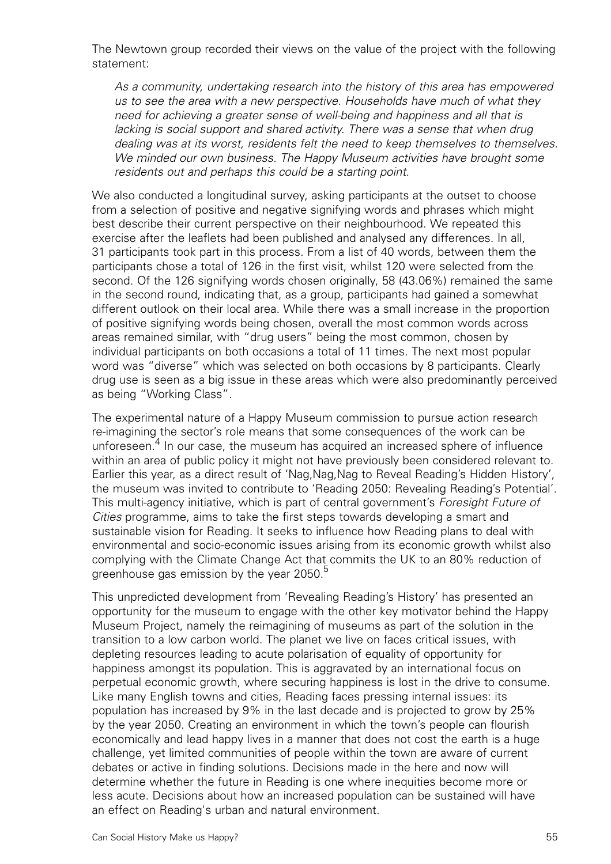The Newtown group recorded their views on the value of the project with the following statement:

As a community, undertaking research into the history of this area has empowered us to see the area with a new perspective. Households have much of what they need for achieving a greater sense of well-being and happiness and all that is lacking is social support and shared activity. There was a sense that when drug dealing was at its worst, residents felt the need to keep themselves to themselves. We minded our own business. The Happy Museum activities have brought some residents out and perhaps this could be a starting point.

We also conducted a longitudinal survey, asking participants at the outset to choose from a selection of positive and negative signifying words and phrases which might best describe their current perspective on their neighbourhood. We repeated this exercise after the leaflets had been published and analysed any differences. In all, 31 participants took part in this process. From a list of 40 words, between them the participants chose a total of 126 in the first visit, whilst 120 were selected from the second. Of the 126 signifying words chosen originally, 58 (43.06%) remained the same in the second round, indicating that, as a group, participants had gained a somewhat different outlook on their local area. While there was a small increase in the proportion of positive signifying words being chosen, overall the most common words across areas remained similar, with "drug users" being the most common, chosen by individual participants on both occasions a total of 11 times. The next most popular word was "diverse" which was selected on both occasions by 8 participants. Clearly drug use is seen as a big issue in these areas which were also predominantly perceived as being "Working Class".

The experimental nature of a Happy Museum commission to pursue action research re-imagining the sector's role means that some consequences of the work can be unforeseen. $4$  In our case, the museum has acquired an increased sphere of influence within an area of public policy it might not have previously been considered relevant to. Earlier this year, as a direct result of 'Nag,Nag,Nag to Reveal Reading's Hidden History', the museum was invited to contribute to 'Reading 2050: Revealing Reading's Potential'. This multi-agency initiative, which is part of central government's Foresight Future of Cities programme, aims to take the first steps towards developing a smart and sustainable vision for Reading. It seeks to influence how Reading plans to deal with environmental and socio-economic issues arising from its economic growth whilst also complying with the Climate Change Act that commits the UK to an 80% reduction of greenhouse gas emission by the year 2050.<sup>5</sup>

This unpredicted development from 'Revealing Reading's History' has presented an opportunity for the museum to engage with the other key motivator behind the Happy Museum Project, namely the reimagining of museums as part of the solution in the transition to a low carbon world. The planet we live on faces critical issues, with depleting resources leading to acute polarisation of equality of opportunity for happiness amongst its population. This is aggravated by an international focus on perpetual economic growth, where securing happiness is lost in the drive to consume. Like many English towns and cities, Reading faces pressing internal issues: its population has increased by 9% in the last decade and is projected to grow by 25% by the year 2050. Creating an environment in which the town's people can flourish economically and lead happy lives in a manner that does not cost the earth is a huge challenge, yet limited communities of people within the town are aware of current debates or active in finding solutions. Decisions made in the here and now will determine whether the future in Reading is one where inequities become more or less acute. Decisions about how an increased population can be sustained will have an effect on Reading's urban and natural environment.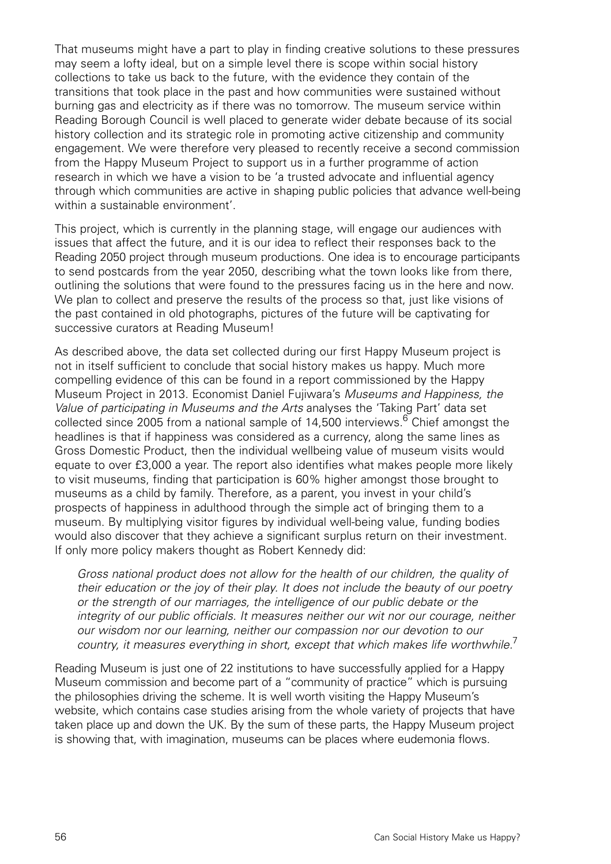That museums might have a part to play in finding creative solutions to these pressures may seem a lofty ideal, but on a simple level there is scope within social history collections to take us back to the future, with the evidence they contain of the transitions that took place in the past and how communities were sustained without burning gas and electricity as if there was no tomorrow. The museum service within Reading Borough Council is well placed to generate wider debate because of its social history collection and its strategic role in promoting active citizenship and community engagement. We were therefore very pleased to recently receive a second commission from the Happy Museum Project to support us in a further programme of action research in which we have a vision to be 'a trusted advocate and influential agency through which communities are active in shaping public policies that advance well-being within a sustainable environment'.

This project, which is currently in the planning stage, will engage our audiences with issues that affect the future, and it is our idea to reflect their responses back to the Reading 2050 project through museum productions. One idea is to encourage participants to send postcards from the year 2050, describing what the town looks like from there, outlining the solutions that were found to the pressures facing us in the here and now. We plan to collect and preserve the results of the process so that, just like visions of the past contained in old photographs, pictures of the future will be captivating for successive curators at Reading Museum!

As described above, the data set collected during our first Happy Museum project is not in itself sufficient to conclude that social history makes us happy. Much more compelling evidence of this can be found in a report commissioned by the Happy Museum Project in 2013. Economist Daniel Fujiwara's Museums and Happiness, the Value of participating in Museums and the Arts analyses the 'Taking Part' data set collected since 2005 from a national sample of 14,500 interviews.<sup>6</sup> Chief amongst the headlines is that if happiness was considered as a currency, along the same lines as Gross Domestic Product, then the individual wellbeing value of museum visits would equate to over £3,000 a year. The report also identifies what makes people more likely to visit museums, finding that participation is 60% higher amongst those brought to museums as a child by family. Therefore, as a parent, you invest in your child's prospects of happiness in adulthood through the simple act of bringing them to a museum. By multiplying visitor figures by individual well-being value, funding bodies would also discover that they achieve a significant surplus return on their investment. If only more policy makers thought as Robert Kennedy did:

Gross national product does not allow for the health of our children, the quality of their education or the joy of their play. It does not include the beauty of our poetry or the strength of our marriages, the intelligence of our public debate or the integrity of our public officials. It measures neither our wit nor our courage, neither our wisdom nor our learning, neither our compassion nor our devotion to our country, it measures everything in short, except that which makes life worthwhile.<sup>7</sup>

Reading Museum is just one of 22 institutions to have successfully applied for a Happy Museum commission and become part of a "community of practice" which is pursuing the philosophies driving the scheme. It is well worth visiting the Happy Museum's website, which contains case studies arising from the whole variety of projects that have taken place up and down the UK. By the sum of these parts, the Happy Museum project is showing that, with imagination, museums can be places where eudemonia flows.